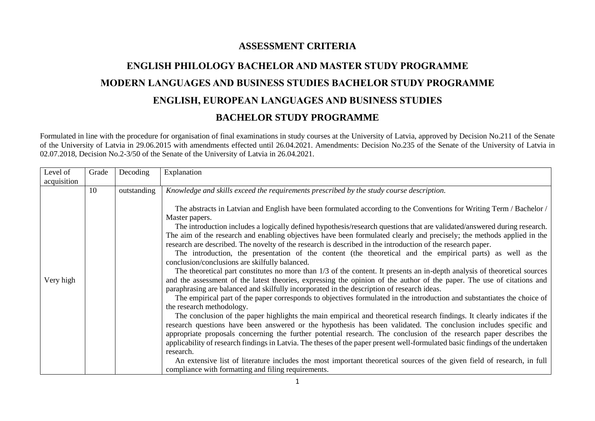## **ASSESSMENT CRITERIA**

## **ENGLISH PHILOLOGY BACHELOR AND MASTER STUDY PROGRAMME MODERN LANGUAGES AND BUSINESS STUDIES BACHELOR STUDY PROGRAMME ENGLISH, EUROPEAN LANGUAGES AND BUSINESS STUDIES BACHELOR STUDY PROGRAMME**

Formulated in line with the procedure for organisation of final examinations in study courses at the University of Latvia, approved by Decision No.211 of the Senate of the University of Latvia in 29.06.2015 with amendments effected until 26.04.2021. Amendments: Decision No.235 of the Senate of the University of Latvia in 02.07.2018, Decision No.2-3/50 of the Senate of the University of Latvia in 26.04.2021.

| acquisition | 10 | outstanding |                                                                                                                                                                                                                                                                                                                                                                                                                                                                                                                                                                                                                                                                                                                                                                                                                                                                                                                                                                                                                                                                                                                                                                                                                                                                                                                                                                                                                   |
|-------------|----|-------------|-------------------------------------------------------------------------------------------------------------------------------------------------------------------------------------------------------------------------------------------------------------------------------------------------------------------------------------------------------------------------------------------------------------------------------------------------------------------------------------------------------------------------------------------------------------------------------------------------------------------------------------------------------------------------------------------------------------------------------------------------------------------------------------------------------------------------------------------------------------------------------------------------------------------------------------------------------------------------------------------------------------------------------------------------------------------------------------------------------------------------------------------------------------------------------------------------------------------------------------------------------------------------------------------------------------------------------------------------------------------------------------------------------------------|
|             |    |             |                                                                                                                                                                                                                                                                                                                                                                                                                                                                                                                                                                                                                                                                                                                                                                                                                                                                                                                                                                                                                                                                                                                                                                                                                                                                                                                                                                                                                   |
| Very high   |    |             | Knowledge and skills exceed the requirements prescribed by the study course description.<br>The abstracts in Latvian and English have been formulated according to the Conventions for Writing Term / Bachelor /<br>Master papers.<br>The introduction includes a logically defined hypothesis/research questions that are validated/answered during research.<br>The aim of the research and enabling objectives have been formulated clearly and precisely; the methods applied in the<br>research are described. The novelty of the research is described in the introduction of the research paper.<br>The introduction, the presentation of the content (the theoretical and the empirical parts) as well as the<br>conclusion/conclusions are skilfully balanced.<br>The theoretical part constitutes no more than 1/3 of the content. It presents an in-depth analysis of theoretical sources<br>and the assessment of the latest theories, expressing the opinion of the author of the paper. The use of citations and<br>paraphrasing are balanced and skilfully incorporated in the description of research ideas.<br>The empirical part of the paper corresponds to objectives formulated in the introduction and substantiates the choice of<br>the research methodology.<br>The conclusion of the paper highlights the main empirical and theoretical research findings. It clearly indicates if the |
|             |    |             | research questions have been answered or the hypothesis has been validated. The conclusion includes specific and                                                                                                                                                                                                                                                                                                                                                                                                                                                                                                                                                                                                                                                                                                                                                                                                                                                                                                                                                                                                                                                                                                                                                                                                                                                                                                  |
|             |    |             | appropriate proposals concerning the further potential research. The conclusion of the research paper describes the<br>applicability of research findings in Latvia. The theses of the paper present well-formulated basic findings of the undertaken                                                                                                                                                                                                                                                                                                                                                                                                                                                                                                                                                                                                                                                                                                                                                                                                                                                                                                                                                                                                                                                                                                                                                             |
|             |    |             | research.<br>An extensive list of literature includes the most important theoretical sources of the given field of research, in full<br>compliance with formatting and filing requirements.                                                                                                                                                                                                                                                                                                                                                                                                                                                                                                                                                                                                                                                                                                                                                                                                                                                                                                                                                                                                                                                                                                                                                                                                                       |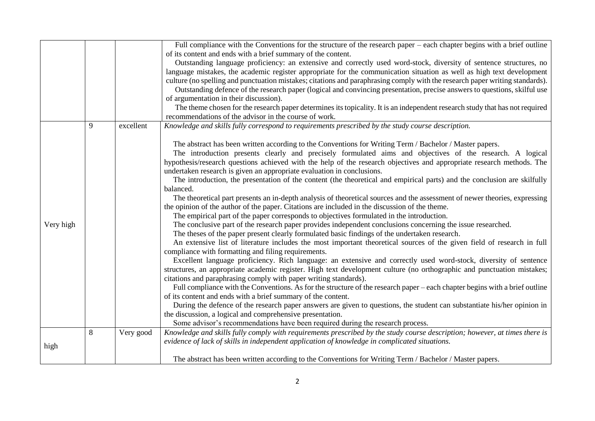|           |   |           | Full compliance with the Conventions for the structure of the research paper – each chapter begins with a brief outline      |
|-----------|---|-----------|------------------------------------------------------------------------------------------------------------------------------|
|           |   |           | of its content and ends with a brief summary of the content.                                                                 |
|           |   |           | Outstanding language proficiency: an extensive and correctly used word-stock, diversity of sentence structures, no           |
|           |   |           | language mistakes, the academic register appropriate for the communication situation as well as high text development        |
|           |   |           | culture (no spelling and punctuation mistakes; citations and paraphrasing comply with the research paper writing standards). |
|           |   |           | Outstanding defence of the research paper (logical and convincing presentation, precise answers to questions, skilful use    |
|           |   |           | of argumentation in their discussion).                                                                                       |
|           |   |           | The theme chosen for the research paper determines its topicality. It is an independent research study that has not required |
|           |   |           | recommendations of the advisor in the course of work.                                                                        |
|           | 9 | excellent | Knowledge and skills fully correspond to requirements prescribed by the study course description.                            |
|           |   |           |                                                                                                                              |
|           |   |           | The abstract has been written according to the Conventions for Writing Term / Bachelor / Master papers.                      |
|           |   |           | The introduction presents clearly and precisely formulated aims and objectives of the research. A logical                    |
|           |   |           | hypothesis/research questions achieved with the help of the research objectives and appropriate research methods. The        |
|           |   |           | undertaken research is given an appropriate evaluation in conclusions.                                                       |
|           |   |           | The introduction, the presentation of the content (the theoretical and empirical parts) and the conclusion are skilfully     |
|           |   |           | balanced.                                                                                                                    |
|           |   |           | The theoretical part presents an in-depth analysis of theoretical sources and the assessment of newer theories, expressing   |
|           |   |           | the opinion of the author of the paper. Citations are included in the discussion of the theme.                               |
|           |   |           | The empirical part of the paper corresponds to objectives formulated in the introduction.                                    |
| Very high |   |           | The conclusive part of the research paper provides independent conclusions concerning the issue researched.                  |
|           |   |           | The theses of the paper present clearly formulated basic findings of the undertaken research.                                |
|           |   |           | An extensive list of literature includes the most important theoretical sources of the given field of research in full       |
|           |   |           | compliance with formatting and filing requirements.                                                                          |
|           |   |           | Excellent language proficiency. Rich language: an extensive and correctly used word-stock, diversity of sentence             |
|           |   |           | structures, an appropriate academic register. High text development culture (no orthographic and punctuation mistakes;       |
|           |   |           | citations and paraphrasing comply with paper writing standards).                                                             |
|           |   |           | Full compliance with the Conventions. As for the structure of the research paper – each chapter begins with a brief outline  |
|           |   |           | of its content and ends with a brief summary of the content.                                                                 |
|           |   |           | During the defence of the research paper answers are given to questions, the student can substantiate his/her opinion in     |
|           |   |           | the discussion, a logical and comprehensive presentation.                                                                    |
|           |   |           | Some advisor's recommendations have been required during the research process.                                               |
|           | 8 | Very good | Knowledge and skills fully comply with requirements prescribed by the study course description; however, at times there is   |
| high      |   |           | evidence of lack of skills in independent application of knowledge in complicated situations.                                |
|           |   |           |                                                                                                                              |
|           |   |           | The abstract has been written according to the Conventions for Writing Term / Bachelor / Master papers.                      |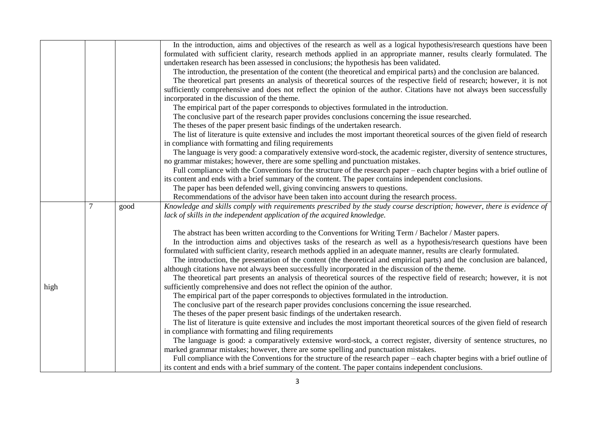|  |      |   |      | In the introduction, aims and objectives of the research as well as a logical hypothesis/research questions have been        |
|--|------|---|------|------------------------------------------------------------------------------------------------------------------------------|
|  |      |   |      | formulated with sufficient clarity, research methods applied in an appropriate manner, results clearly formulated. The       |
|  |      |   |      | undertaken research has been assessed in conclusions; the hypothesis has been validated.                                     |
|  |      |   |      | The introduction, the presentation of the content (the theoretical and empirical parts) and the conclusion are balanced.     |
|  |      |   |      | The theoretical part presents an analysis of theoretical sources of the respective field of research; however, it is not     |
|  |      |   |      | sufficiently comprehensive and does not reflect the opinion of the author. Citations have not always been successfully       |
|  |      |   |      | incorporated in the discussion of the theme.                                                                                 |
|  |      |   |      | The empirical part of the paper corresponds to objectives formulated in the introduction.                                    |
|  |      |   |      | The conclusive part of the research paper provides conclusions concerning the issue researched.                              |
|  |      |   |      | The theses of the paper present basic findings of the undertaken research.                                                   |
|  |      |   |      | The list of literature is quite extensive and includes the most important theoretical sources of the given field of research |
|  |      |   |      | in compliance with formatting and filing requirements                                                                        |
|  |      |   |      | The language is very good: a comparatively extensive word-stock, the academic register, diversity of sentence structures,    |
|  |      |   |      | no grammar mistakes; however, there are some spelling and punctuation mistakes.                                              |
|  |      |   |      | Full compliance with the Conventions for the structure of the research paper – each chapter begins with a brief outline of   |
|  |      |   |      | its content and ends with a brief summary of the content. The paper contains independent conclusions.                        |
|  |      |   |      | The paper has been defended well, giving convincing answers to questions.                                                    |
|  |      |   |      | Recommendations of the advisor have been taken into account during the research process.                                     |
|  |      | 7 | good | Knowledge and skills comply with requirements prescribed by the study course description; however, there is evidence of      |
|  |      |   |      | lack of skills in the independent application of the acquired knowledge.                                                     |
|  |      |   |      |                                                                                                                              |
|  |      |   |      | The abstract has been written according to the Conventions for Writing Term / Bachelor / Master papers.                      |
|  |      |   |      | In the introduction aims and objectives tasks of the research as well as a hypothesis/research questions have been           |
|  |      |   |      | formulated with sufficient clarity, research methods applied in an adequate manner, results are clearly formulated.          |
|  |      |   |      | The introduction, the presentation of the content (the theoretical and empirical parts) and the conclusion are balanced,     |
|  |      |   |      | although citations have not always been successfully incorporated in the discussion of the theme.                            |
|  |      |   |      | The theoretical part presents an analysis of theoretical sources of the respective field of research; however, it is not     |
|  | high |   |      | sufficiently comprehensive and does not reflect the opinion of the author.                                                   |
|  |      |   |      | The empirical part of the paper corresponds to objectives formulated in the introduction.                                    |
|  |      |   |      | The conclusive part of the research paper provides conclusions concerning the issue researched.                              |
|  |      |   |      | The theses of the paper present basic findings of the undertaken research.                                                   |
|  |      |   |      | The list of literature is quite extensive and includes the most important theoretical sources of the given field of research |
|  |      |   |      | in compliance with formatting and filing requirements                                                                        |
|  |      |   |      | The language is good: a comparatively extensive word-stock, a correct register, diversity of sentence structures, no         |
|  |      |   |      | marked grammar mistakes; however, there are some spelling and punctuation mistakes.                                          |
|  |      |   |      | Full compliance with the Conventions for the structure of the research paper – each chapter begins with a brief outline of   |
|  |      |   |      | its content and ends with a brief summary of the content. The paper contains independent conclusions.                        |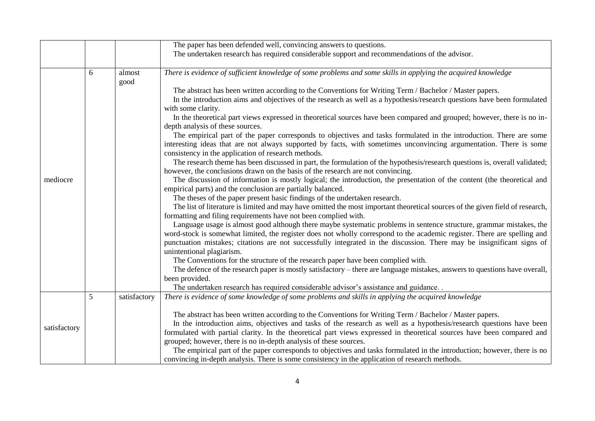|              |   |                | The paper has been defended well, convincing answers to questions.                                                                                                                                                                                                                                                                                                                                                                                                                                                                                                                                                                                                                                                                                                                                                                                                                                                                                                                                                                                                                                                                                                                                                                                                                                                                                                                                                                                                                                                                                                                                                                                              |
|--------------|---|----------------|-----------------------------------------------------------------------------------------------------------------------------------------------------------------------------------------------------------------------------------------------------------------------------------------------------------------------------------------------------------------------------------------------------------------------------------------------------------------------------------------------------------------------------------------------------------------------------------------------------------------------------------------------------------------------------------------------------------------------------------------------------------------------------------------------------------------------------------------------------------------------------------------------------------------------------------------------------------------------------------------------------------------------------------------------------------------------------------------------------------------------------------------------------------------------------------------------------------------------------------------------------------------------------------------------------------------------------------------------------------------------------------------------------------------------------------------------------------------------------------------------------------------------------------------------------------------------------------------------------------------------------------------------------------------|
|              |   |                | The undertaken research has required considerable support and recommendations of the advisor.                                                                                                                                                                                                                                                                                                                                                                                                                                                                                                                                                                                                                                                                                                                                                                                                                                                                                                                                                                                                                                                                                                                                                                                                                                                                                                                                                                                                                                                                                                                                                                   |
| mediocre     | 6 | almost<br>good | There is evidence of sufficient knowledge of some problems and some skills in applying the acquired knowledge<br>The abstract has been written according to the Conventions for Writing Term / Bachelor / Master papers.<br>In the introduction aims and objectives of the research as well as a hypothesis/research questions have been formulated<br>with some clarity.<br>In the theoretical part views expressed in theoretical sources have been compared and grouped; however, there is no in-<br>depth analysis of these sources.<br>The empirical part of the paper corresponds to objectives and tasks formulated in the introduction. There are some<br>interesting ideas that are not always supported by facts, with sometimes unconvincing argumentation. There is some<br>consistency in the application of research methods.<br>The research theme has been discussed in part, the formulation of the hypothesis/research questions is, overall validated;<br>however, the conclusions drawn on the basis of the research are not convincing.<br>The discussion of information is mostly logical; the introduction, the presentation of the content (the theoretical and<br>empirical parts) and the conclusion are partially balanced.<br>The theses of the paper present basic findings of the undertaken research.<br>The list of literature is limited and may have omitted the most important theoretical sources of the given field of research,<br>formatting and filing requirements have not been complied with.<br>Language usage is almost good although there maybe systematic problems in sentence structure, grammar mistakes, the |
|              |   |                | word-stock is somewhat limited, the register does not wholly correspond to the academic register. There are spelling and<br>punctuation mistakes; citations are not successfully integrated in the discussion. There may be insignificant signs of<br>unintentional plagiarism.<br>The Conventions for the structure of the research paper have been complied with.<br>The defence of the research paper is mostly satisfactory – there are language mistakes, answers to questions have overall,<br>been provided.<br>The undertaken research has required considerable advisor's assistance and guidance. .                                                                                                                                                                                                                                                                                                                                                                                                                                                                                                                                                                                                                                                                                                                                                                                                                                                                                                                                                                                                                                                   |
|              | 5 | satisfactory   | There is evidence of some knowledge of some problems and skills in applying the acquired knowledge                                                                                                                                                                                                                                                                                                                                                                                                                                                                                                                                                                                                                                                                                                                                                                                                                                                                                                                                                                                                                                                                                                                                                                                                                                                                                                                                                                                                                                                                                                                                                              |
| satisfactory |   |                | The abstract has been written according to the Conventions for Writing Term / Bachelor / Master papers.<br>In the introduction aims, objectives and tasks of the research as well as a hypothesis/research questions have been<br>formulated with partial clarity. In the theoretical part views expressed in theoretical sources have been compared and<br>grouped; however, there is no in-depth analysis of these sources.<br>The empirical part of the paper corresponds to objectives and tasks formulated in the introduction; however, there is no                                                                                                                                                                                                                                                                                                                                                                                                                                                                                                                                                                                                                                                                                                                                                                                                                                                                                                                                                                                                                                                                                                       |
|              |   |                | convincing in-depth analysis. There is some consistency in the application of research methods.                                                                                                                                                                                                                                                                                                                                                                                                                                                                                                                                                                                                                                                                                                                                                                                                                                                                                                                                                                                                                                                                                                                                                                                                                                                                                                                                                                                                                                                                                                                                                                 |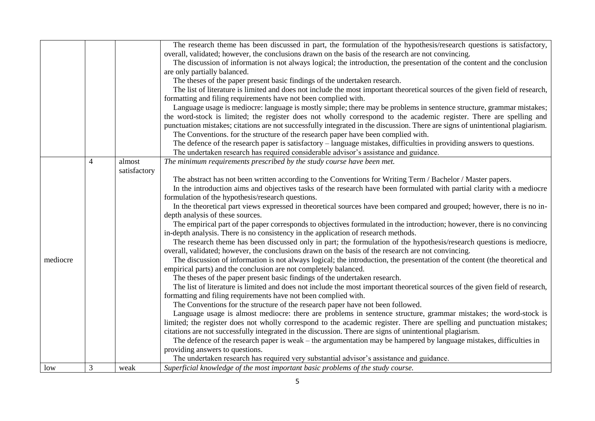|          |   |              | The research theme has been discussed in part, the formulation of the hypothesis/research questions is satisfactory,            |
|----------|---|--------------|---------------------------------------------------------------------------------------------------------------------------------|
|          |   |              | overall, validated; however, the conclusions drawn on the basis of the research are not convincing.                             |
|          |   |              | The discussion of information is not always logical; the introduction, the presentation of the content and the conclusion       |
|          |   |              | are only partially balanced.                                                                                                    |
|          |   |              | The theses of the paper present basic findings of the undertaken research.                                                      |
|          |   |              | The list of literature is limited and does not include the most important theoretical sources of the given field of research,   |
|          |   |              | formatting and filing requirements have not been complied with.                                                                 |
|          |   |              | Language usage is mediocre: language is mostly simple; there may be problems in sentence structure, grammar mistakes;           |
|          |   |              | the word-stock is limited; the register does not wholly correspond to the academic register. There are spelling and             |
|          |   |              | punctuation mistakes; citations are not successfully integrated in the discussion. There are signs of unintentional plagiarism. |
|          |   |              | The Conventions. for the structure of the research paper have been complied with.                                               |
|          |   |              | The defence of the research paper is satisfactory – language mistakes, difficulties in providing answers to questions.          |
|          |   |              | The undertaken research has required considerable advisor's assistance and guidance.                                            |
|          | 4 | almost       | The minimum requirements prescribed by the study course have been met.                                                          |
|          |   | satisfactory |                                                                                                                                 |
|          |   |              | The abstract has not been written according to the Conventions for Writing Term / Bachelor / Master papers.                     |
|          |   |              | In the introduction aims and objectives tasks of the research have been formulated with partial clarity with a mediocre         |
|          |   |              | formulation of the hypothesis/research questions.                                                                               |
|          |   |              | In the theoretical part views expressed in theoretical sources have been compared and grouped; however, there is no in-         |
|          |   |              | depth analysis of these sources.                                                                                                |
|          |   |              | The empirical part of the paper corresponds to objectives formulated in the introduction; however, there is no convincing       |
|          |   |              | in-depth analysis. There is no consistency in the application of research methods.                                              |
|          |   |              | The research theme has been discussed only in part; the formulation of the hypothesis/research questions is mediocre,           |
|          |   |              | overall, validated; however, the conclusions drawn on the basis of the research are not convincing.                             |
| mediocre |   |              | The discussion of information is not always logical; the introduction, the presentation of the content (the theoretical and     |
|          |   |              | empirical parts) and the conclusion are not completely balanced.                                                                |
|          |   |              | The theses of the paper present basic findings of the undertaken research.                                                      |
|          |   |              | The list of literature is limited and does not include the most important theoretical sources of the given field of research,   |
|          |   |              | formatting and filing requirements have not been complied with.                                                                 |
|          |   |              | The Conventions for the structure of the research paper have not been followed.                                                 |
|          |   |              | Language usage is almost mediocre: there are problems in sentence structure, grammar mistakes; the word-stock is                |
|          |   |              | limited; the register does not wholly correspond to the academic register. There are spelling and punctuation mistakes;         |
|          |   |              | citations are not successfully integrated in the discussion. There are signs of unintentional plagiarism.                       |
|          |   |              | The defence of the research paper is weak – the argumentation may be hampered by language mistakes, difficulties in             |
|          |   |              | providing answers to questions.                                                                                                 |
|          |   |              | The undertaken research has required very substantial advisor's assistance and guidance.                                        |
| low      | 3 | weak         | Superficial knowledge of the most important basic problems of the study course.                                                 |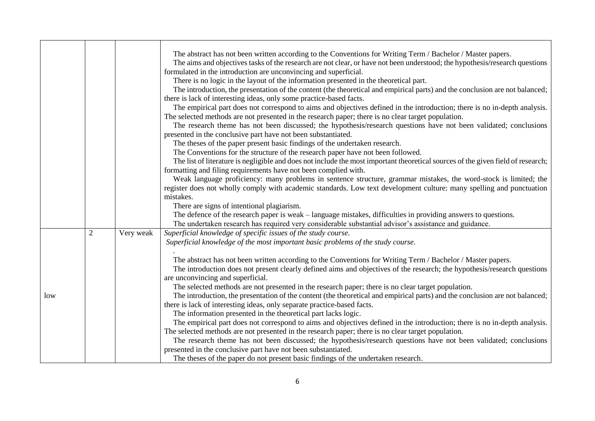|     |                |           | The abstract has not been written according to the Conventions for Writing Term / Bachelor / Master papers.<br>The aims and objectives tasks of the research are not clear, or have not been understood; the hypothesis/research questions<br>formulated in the introduction are unconvincing and superficial.<br>There is no logic in the layout of the information presented in the theoretical part.<br>The introduction, the presentation of the content (the theoretical and empirical parts) and the conclusion are not balanced;<br>there is lack of interesting ideas, only some practice-based facts.<br>The empirical part does not correspond to aims and objectives defined in the introduction; there is no in-depth analysis.<br>The selected methods are not presented in the research paper; there is no clear target population.<br>The research theme has not been discussed; the hypothesis/research questions have not been validated; conclusions<br>presented in the conclusive part have not been substantiated.<br>The theses of the paper present basic findings of the undertaken research.<br>The Conventions for the structure of the research paper have not been followed.<br>The list of literature is negligible and does not include the most important theoretical sources of the given field of research;<br>formatting and filing requirements have not been complied with.<br>Weak language proficiency: many problems in sentence structure, grammar mistakes, the word-stock is limited; the<br>register does not wholly comply with academic standards. Low text development culture: many spelling and punctuation<br>mistakes.<br>There are signs of intentional plagiarism. |
|-----|----------------|-----------|------------------------------------------------------------------------------------------------------------------------------------------------------------------------------------------------------------------------------------------------------------------------------------------------------------------------------------------------------------------------------------------------------------------------------------------------------------------------------------------------------------------------------------------------------------------------------------------------------------------------------------------------------------------------------------------------------------------------------------------------------------------------------------------------------------------------------------------------------------------------------------------------------------------------------------------------------------------------------------------------------------------------------------------------------------------------------------------------------------------------------------------------------------------------------------------------------------------------------------------------------------------------------------------------------------------------------------------------------------------------------------------------------------------------------------------------------------------------------------------------------------------------------------------------------------------------------------------------------------------------------------------------------------------------------------------------------------------------|
|     | $\overline{2}$ | Very weak | The defence of the research paper is weak – language mistakes, difficulties in providing answers to questions.<br>The undertaken research has required very considerable substantial advisor's assistance and guidance.<br>Superficial knowledge of specific issues of the study course.<br>Superficial knowledge of the most important basic problems of the study course.                                                                                                                                                                                                                                                                                                                                                                                                                                                                                                                                                                                                                                                                                                                                                                                                                                                                                                                                                                                                                                                                                                                                                                                                                                                                                                                                            |
| low |                |           | The abstract has not been written according to the Conventions for Writing Term / Bachelor / Master papers.<br>The introduction does not present clearly defined aims and objectives of the research; the hypothesis/research questions<br>are unconvincing and superficial.<br>The selected methods are not presented in the research paper; there is no clear target population.<br>The introduction, the presentation of the content (the theoretical and empirical parts) and the conclusion are not balanced;<br>there is lack of interesting ideas, only separate practice-based facts.<br>The information presented in the theoretical part lacks logic.<br>The empirical part does not correspond to aims and objectives defined in the introduction; there is no in-depth analysis.<br>The selected methods are not presented in the research paper; there is no clear target population.                                                                                                                                                                                                                                                                                                                                                                                                                                                                                                                                                                                                                                                                                                                                                                                                                     |
|     |                |           | The research theme has not been discussed; the hypothesis/research questions have not been validated; conclusions<br>presented in the conclusive part have not been substantiated.<br>The theses of the paper do not present basic findings of the undertaken research.                                                                                                                                                                                                                                                                                                                                                                                                                                                                                                                                                                                                                                                                                                                                                                                                                                                                                                                                                                                                                                                                                                                                                                                                                                                                                                                                                                                                                                                |